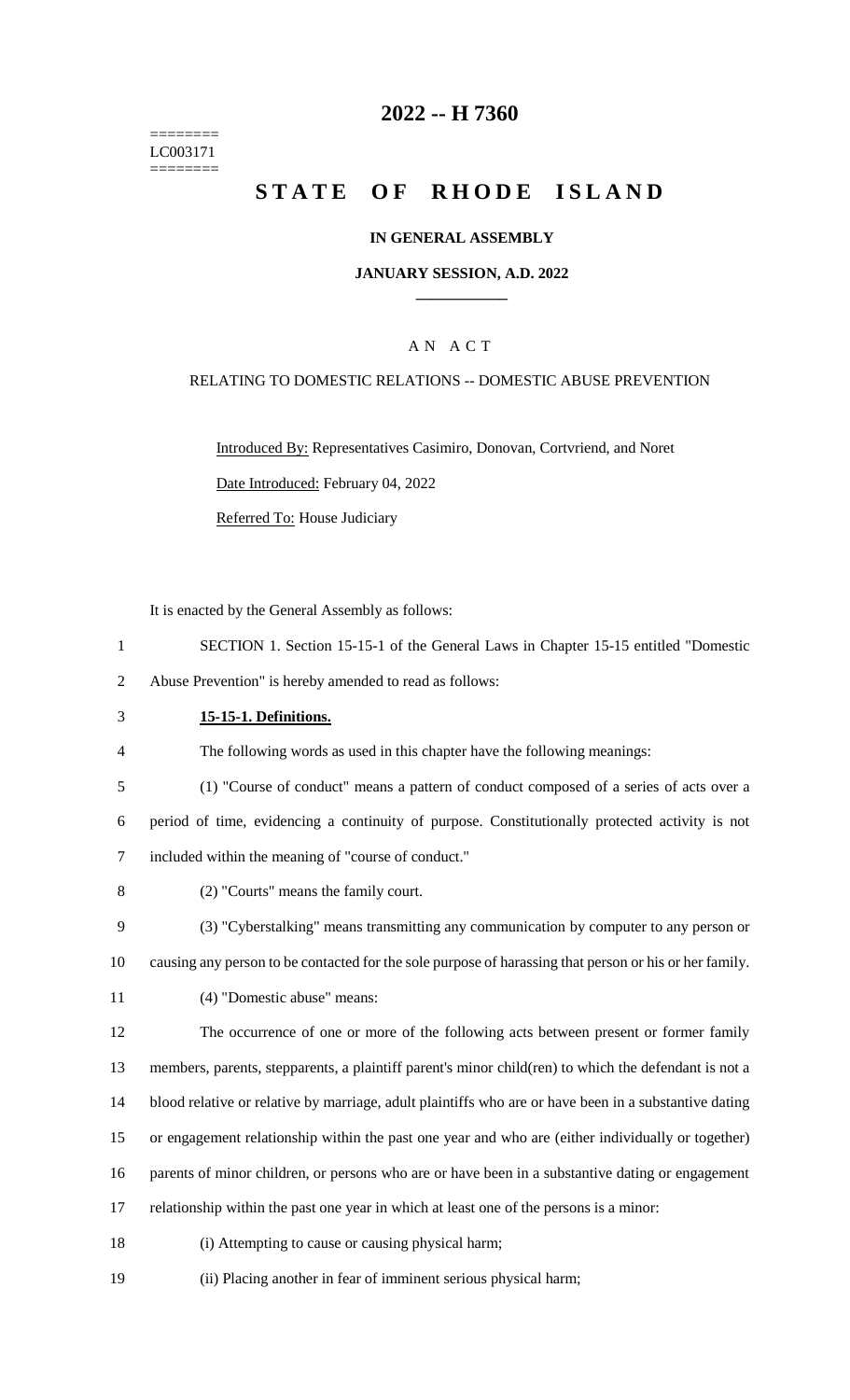======== LC003171 ========

## **-- H 7360**

# **STATE OF RHODE ISLAND**

### **IN GENERAL ASSEMBLY**

#### **JANUARY SESSION, A.D. 2022 \_\_\_\_\_\_\_\_\_\_\_\_**

## A N A C T

#### RELATING TO DOMESTIC RELATIONS -- DOMESTIC ABUSE PREVENTION

Introduced By: Representatives Casimiro, Donovan, Cortvriend, and Noret Date Introduced: February 04, 2022 Referred To: House Judiciary

It is enacted by the General Assembly as follows:

- SECTION 1. Section 15-15-1 of the General Laws in Chapter 15-15 entitled "Domestic Abuse Prevention" is hereby amended to read as follows:
- **15-15-1. Definitions.**

The following words as used in this chapter have the following meanings:

(1) "Course of conduct" means a pattern of conduct composed of a series of acts over a

 period of time, evidencing a continuity of purpose. Constitutionally protected activity is not included within the meaning of "course of conduct."

- (2) "Courts" means the family court.
- (3) "Cyberstalking" means transmitting any communication by computer to any person or
- causing any person to be contacted for the sole purpose of harassing that person or his or her family.
- (4) "Domestic abuse" means:

The occurrence of one or more of the following acts between present or former family

members, parents, stepparents, a plaintiff parent's minor child(ren) to which the defendant is not a

- blood relative or relative by marriage, adult plaintiffs who are or have been in a substantive dating
- or engagement relationship within the past one year and who are (either individually or together)

parents of minor children, or persons who are or have been in a substantive dating or engagement

- relationship within the past one year in which at least one of the persons is a minor:
- (i) Attempting to cause or causing physical harm;
- (ii) Placing another in fear of imminent serious physical harm;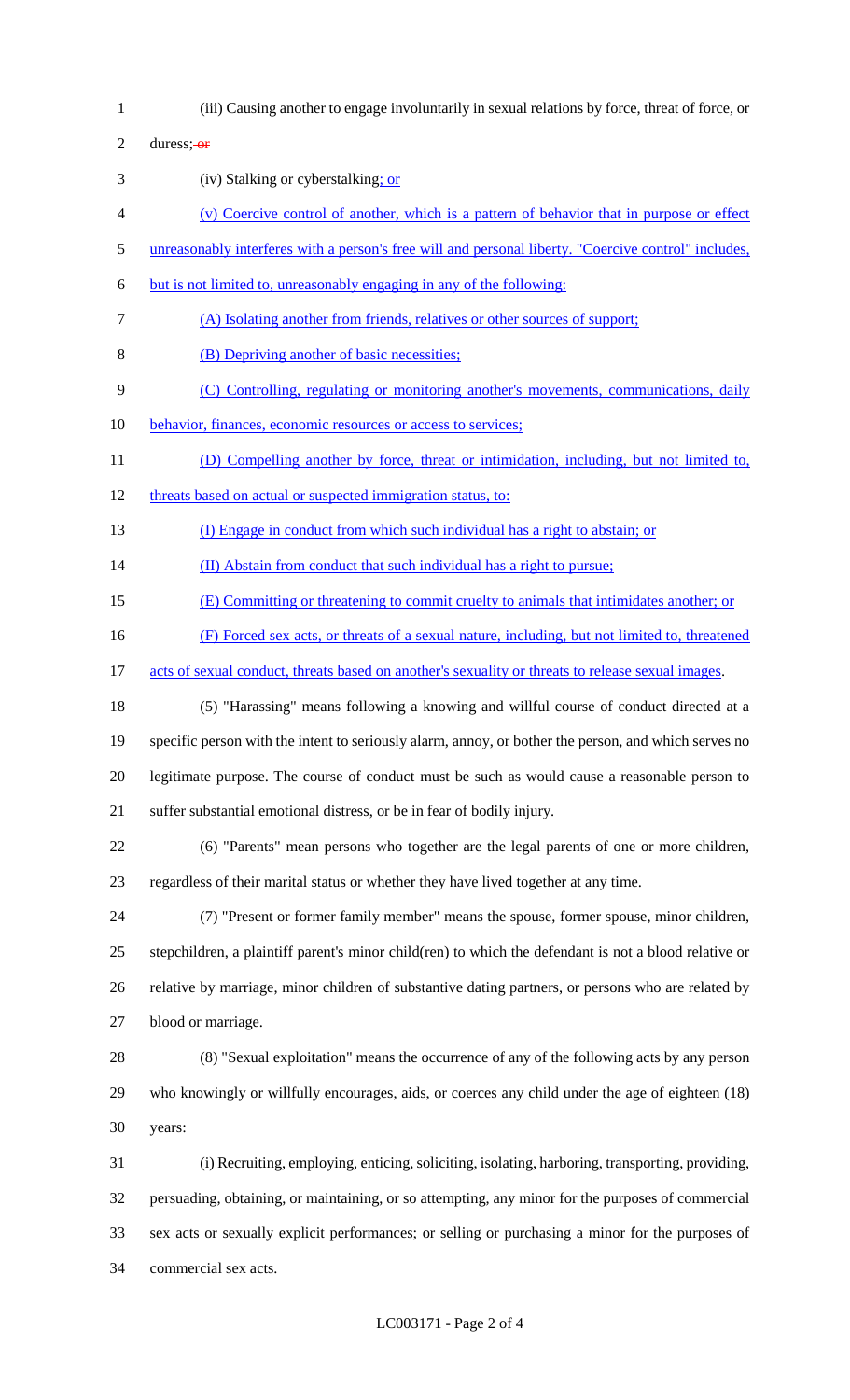(iii) Causing another to engage involuntarily in sexual relations by force, threat of force, or 2 duress; $-$ or (iv) Stalking or cyberstalking; or (v) Coercive control of another, which is a pattern of behavior that in purpose or effect 5 unreasonably interferes with a person's free will and personal liberty. "Coercive control" includes, but is not limited to, unreasonably engaging in any of the following: (A) Isolating another from friends, relatives or other sources of support; (B) Depriving another of basic necessities; (C) Controlling, regulating or monitoring another's movements, communications, daily 10 behavior, finances, economic resources or access to services; 11 (D) Compelling another by force, threat or intimidation, including, but not limited to, 12 threats based on actual or suspected immigration status, to: (I) Engage in conduct from which such individual has a right to abstain; or 14 (II) Abstain from conduct that such individual has a right to pursue; (E) Committing or threatening to commit cruelty to animals that intimidates another; or (F) Forced sex acts, or threats of a sexual nature, including, but not limited to, threatened 17 acts of sexual conduct, threats based on another's sexuality or threats to release sexual images. (5) "Harassing" means following a knowing and willful course of conduct directed at a specific person with the intent to seriously alarm, annoy, or bother the person, and which serves no legitimate purpose. The course of conduct must be such as would cause a reasonable person to suffer substantial emotional distress, or be in fear of bodily injury. (6) "Parents" mean persons who together are the legal parents of one or more children, regardless of their marital status or whether they have lived together at any time. (7) "Present or former family member" means the spouse, former spouse, minor children, stepchildren, a plaintiff parent's minor child(ren) to which the defendant is not a blood relative or relative by marriage, minor children of substantive dating partners, or persons who are related by blood or marriage. (8) "Sexual exploitation" means the occurrence of any of the following acts by any person who knowingly or willfully encourages, aids, or coerces any child under the age of eighteen (18) years: (i) Recruiting, employing, enticing, soliciting, isolating, harboring, transporting, providing, persuading, obtaining, or maintaining, or so attempting, any minor for the purposes of commercial sex acts or sexually explicit performances; or selling or purchasing a minor for the purposes of commercial sex acts.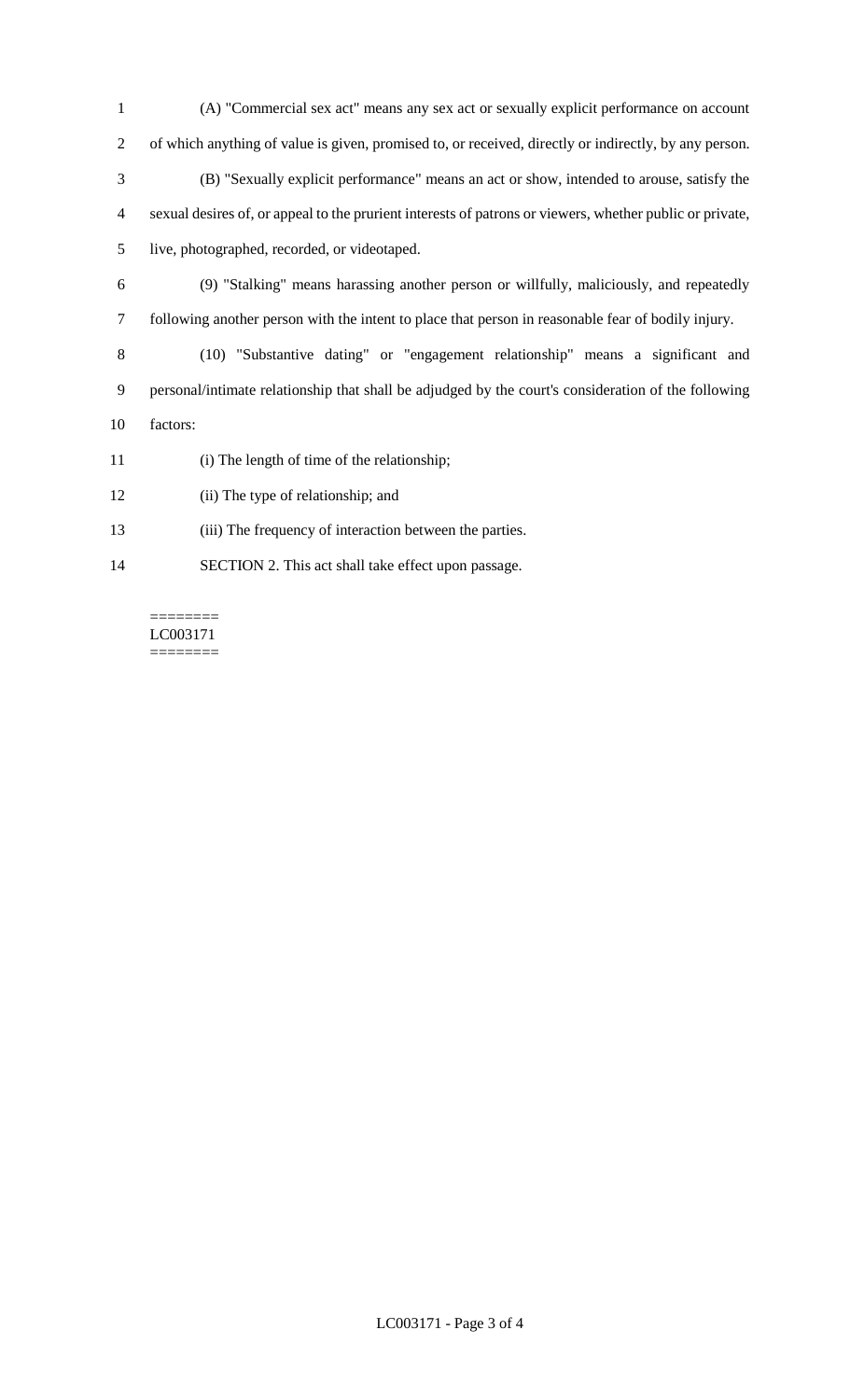(A) "Commercial sex act" means any sex act or sexually explicit performance on account of which anything of value is given, promised to, or received, directly or indirectly, by any person. (B) "Sexually explicit performance" means an act or show, intended to arouse, satisfy the sexual desires of, or appeal to the prurient interests of patrons or viewers, whether public or private, live, photographed, recorded, or videotaped.

 (9) "Stalking" means harassing another person or willfully, maliciously, and repeatedly following another person with the intent to place that person in reasonable fear of bodily injury.

 (10) "Substantive dating" or "engagement relationship" means a significant and personal/intimate relationship that shall be adjudged by the court's consideration of the following factors:

- (i) The length of time of the relationship;
- (ii) The type of relationship; and
- (iii) The frequency of interaction between the parties.
- SECTION 2. This act shall take effect upon passage.

======== LC003171 ========